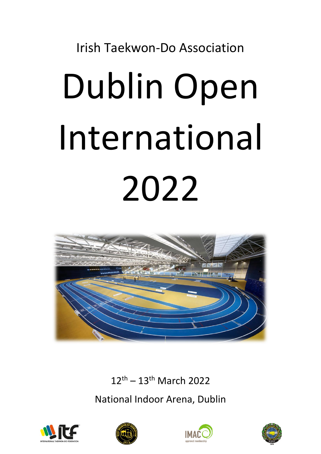# Irish Taekwon-Do Association Dublin Open International 2022



12th – 13th March 2022

National Indoor Arena, Dublin







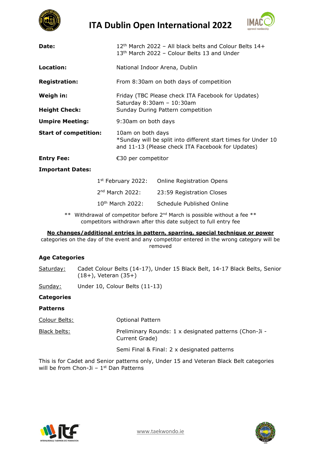

**ITA Dublin Open International 2022**



| Date:                             | 12 <sup>th</sup> March 2022 - All black belts and Colour Belts 14+<br>13 <sup>th</sup> March 2022 - Colour Belts 13 and Under           |  |  |  |  |
|-----------------------------------|-----------------------------------------------------------------------------------------------------------------------------------------|--|--|--|--|
| Location:                         | National Indoor Arena, Dublin                                                                                                           |  |  |  |  |
| <b>Registration:</b>              | From 8:30am on both days of competition                                                                                                 |  |  |  |  |
| Weigh in:<br><b>Height Check:</b> | Friday (TBC Please check ITA Facebook for Updates)<br>Saturday 8:30am - 10:30am<br>Sunday During Pattern competition                    |  |  |  |  |
| <b>Umpire Meeting:</b>            | 9:30am on both days                                                                                                                     |  |  |  |  |
| <b>Start of competition:</b>      | 10am on both days<br>*Sunday will be split into different start times for Under 10<br>and 11-13 (Please check ITA Facebook for Updates) |  |  |  |  |
| <b>Entry Fee:</b>                 | €30 per competitor                                                                                                                      |  |  |  |  |
| <b>Important Dates:</b>           |                                                                                                                                         |  |  |  |  |

| $1st$ February 2022: | <b>Online Registration Opens</b> |
|----------------------|----------------------------------|
| $2nd$ March 2022:    | 23:59 Registration Closes        |
| $10th$ March 2022:   | Schedule Published Online        |

\*\* Withdrawal of competitor before  $2^{nd}$  March is possible without a fee \*\* competitors withdrawn after this date subject to full entry fee

## **No changes/additional entries in pattern, sparring, special technique or power**

categories on the day of the event and any competitor entered in the wrong category will be removed

# **Age Categories**

Saturday: Cadet Colour Belts (14-17), Under 15 Black Belt, 14-17 Black Belts, Senior (18+), Veteran (35+)

Sunday: Under 10, Colour Belts (11-13)

## **Categories**

## **Patterns**

| Colour Belts: | <b>Optional Pattern</b>                                                  |
|---------------|--------------------------------------------------------------------------|
| Black belts:  | Preliminary Rounds: 1 x designated patterns (Chon-Ji -<br>Current Grade) |
|               | Semi Final & Final: 2 x designated patterns                              |

This is for Cadet and Senior patterns only, Under 15 and Veteran Black Belt categories will be from Chon-Ji  $-1$ <sup>st</sup> Dan Patterns



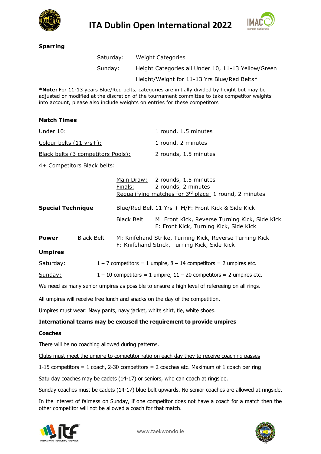

**ITA Dublin Open International 2022**



# **Sparring**

| Saturday: | <b>Weight Categories</b>                           |
|-----------|----------------------------------------------------|
| Sunday:   | Height Categories all Under 10, 11-13 Yellow/Green |
|           | Height/Weight for 11-13 Yrs Blue/Red Belts*        |

**\*Note:** For 11-13 years Blue/Red belts, categories are initially divided by height but may be adjusted or modified at the discretion of the tournament committee to take competitor weights into account, please also include weights on entries for these competitors

# **Match Times**

| Under 10:                          | 1 round, 1.5 minutes  |
|------------------------------------|-----------------------|
| Colour belts $(11 \text{ yrs+})$ : | 1 round, 2 minutes    |
| Black belts (3 competitors Pools): | 2 rounds, 1.5 minutes |
| 4+ Competitors Black belts:        |                       |

|                          |                   | Main Draw:<br>Finals: | 2 rounds, 1.5 minutes<br>2 rounds, 2 minutes<br>Requalifying matches for 3rd place: 1 round, 2 minutes  |
|--------------------------|-------------------|-----------------------|---------------------------------------------------------------------------------------------------------|
| <b>Special Technique</b> |                   |                       | Blue/Red Belt 11 Yrs + M/F: Front Kick & Side Kick                                                      |
|                          |                   | <b>Black Belt</b>     | M: Front Kick, Reverse Turning Kick, Side Kick<br>F: Front Kick, Turning Kick, Side Kick                |
| <b>Power</b>             | <b>Black Belt</b> |                       | M: Knifehand Strike, Turning Kick, Reverse Turning Kick<br>F: Knifehand Strick, Turning Kick, Side Kick |
| <b>Umpires</b>           |                   |                       |                                                                                                         |
| Saturday:                |                   |                       | $1 - 7$ competitors = 1 umpire, $8 - 14$ competitors = 2 umpires etc.                                   |
| Sunday:                  |                   |                       | $1 - 10$ competitors = 1 umpire, $11 - 20$ competitors = 2 umpires etc.                                 |

We need as many senior umpires as possible to ensure a high level of refereeing on all rings.

All umpires will receive free lunch and snacks on the day of the competition.

Umpires must wear: Navy pants, navy jacket, white shirt, tie, white shoes.

## **International teams may be excused the requirement to provide umpires**

### **Coaches**

There will be no coaching allowed during patterns.

Clubs must meet the umpire to competitor ratio on each day they to receive coaching passes

1-15 competitors = 1 coach, 2-30 competitors = 2 coaches etc. Maximum of 1 coach per ring

Saturday coaches may be cadets (14-17) or seniors, who can coach at ringside.

Sunday coaches must be cadets (14-17) blue belt upwards. No senior coaches are allowed at ringside.

In the interest of fairness on Sunday, if one competitor does not have a coach for a match then the other competitor will not be allowed a coach for that match.



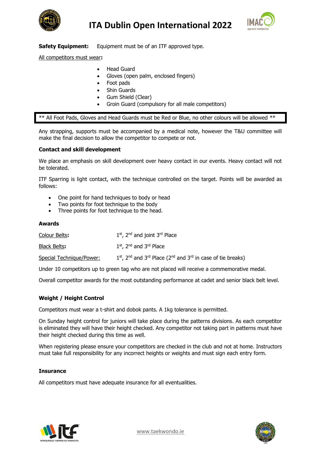



**Safety Equipment:** Equipment must be of an ITF approved type.

All competitors must wear**:**

- Head Guard
- Gloves (open palm, enclosed fingers)
- Foot pads
- **Shin Guards**
- Gum Shield (Clear)
- Groin Guard (compulsory for all male competitors)

\*\* All Foot Pads, Gloves and Head Guards must be Red or Blue, no other colours will be allowed \*\*

Any strapping, supports must be accompanied by a medical note, however the T&U committee will make the final decision to allow the competitor to compete or not.

# **Contact and skill development**

We place an emphasis on skill development over heavy contact in our events. Heavy contact will not be tolerated.

ITF Sparring is light contact, with the technique controlled on the target. Points will be awarded as follows:

- One point for hand techniques to body or head
- Two points for foot technique to the body
- Three points for foot technique to the head.

## **Awards**

| Colour Belts:            | $1st$ , 2 <sup>nd</sup> and joint 3 <sup>rd</sup> Place                                                       |
|--------------------------|---------------------------------------------------------------------------------------------------------------|
| Black Belts:             | $1st$ , 2 <sup>nd</sup> and 3 <sup>rd</sup> Place                                                             |
| Special Technique/Power: | $1st$ , 2 <sup>nd</sup> and 3 <sup>rd</sup> Place (2 <sup>nd</sup> and 3 <sup>rd</sup> in case of tie breaks) |

Under 10 competitors up to green tag who are not placed will receive a commemorative medal.

Overall competitor awards for the most outstanding performance at cadet and senior black belt level.

# **Weight / Height Control**

Competitors must wear a t-shirt and dobok pants. A 1kg tolerance is permitted.

On Sunday height control for juniors will take place during the patterns divisions. As each competitor is eliminated they will have their height checked. Any competitor not taking part in patterns must have their height checked during this time as well.

When registering please ensure your competitors are checked in the club and not at home. Instructors must take full responsibility for any incorrect heights or weights and must sign each entry form.

## **Insurance**

All competitors must have adequate insurance for all eventualities.



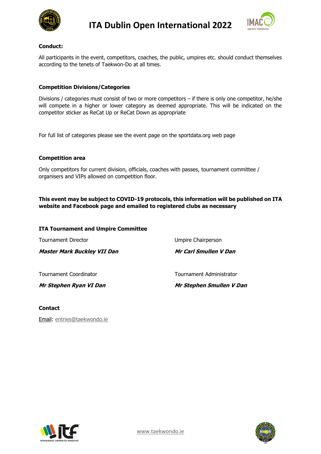



# **Conduct:**

All participants in the event, competitors, coaches, the public, umpires etc. should conduct themselves according to the tenets of Taekwon-Do at all times.

# **Competition Divisions/Categories**

Divisions / categories must consist of two or more competitors – if there is only one competitor, he/she will compete in a higher or lower category as deemed appropriate. This will be indicated on the competitor sticker as ReCat Up or ReCat Down as appropriate

For full list of categories please see the event page on the sportdata.org web page

## **Competition area**

Only competitors for current division, officials, coaches with passes, tournament committee / organisers and VIPs allowed on competition floor.

# **This event may be subject to COVID-19 protocols, this information will be published on ITA website and Facebook page and emailed to registered clubs as necessary**

### **ITA Tournament and Umpire Committee**

| Mr Stephen Ryan VI Dan             | Mr Stephen Smullen V Dan |
|------------------------------------|--------------------------|
| Tournament Coordinator             | Tournament Administrator |
| <b>Master Mark Buckley VII Dan</b> | Mr Carl Smullen V Dan    |
| <b>Tournament Director</b>         | Umpire Chairperson       |

## **Contact**

Email: [entries@taekwondo.ie](mailto:entries@taekwondo.ie)